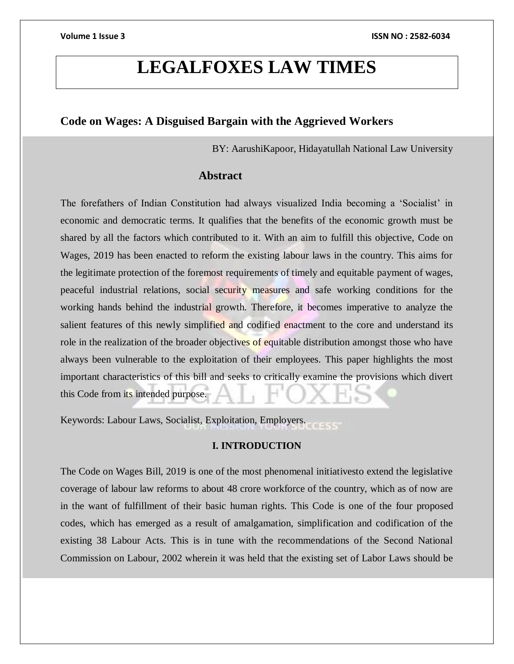# **LEGALFOXES LAW TIMES**

# **Code on Wages: A Disguised Bargain with the Aggrieved Workers**

BY: AarushiKapoor, Hidayatullah National Law University

# **Abstract**

The forefathers of Indian Constitution had always visualized India becoming a 'Socialist' in economic and democratic terms. It qualifies that the benefits of the economic growth must be shared by all the factors which contributed to it. With an aim to fulfill this objective, Code on Wages, 2019 has been enacted to reform the existing labour laws in the country. This aims for the legitimate protection of the foremost requirements of timely and equitable payment of wages, peaceful industrial relations, social security measures and safe working conditions for the working hands behind the industrial growth. Therefore, it becomes imperative to analyze the salient features of this newly simplified and codified enactment to the core and understand its role in the realization of the broader objectives of equitable distribution amongst those who have always been vulnerable to the exploitation of their employees. This paper highlights the most important characteristics of this bill and seeks to critically examine the provisions which divert this Code from its intended purpose.

Keywords: Labour Laws, Socialist, Exploitation, Employers.

# **I. INTRODUCTION**

The Code on Wages Bill, 2019 is one of the most phenomenal initiativesto extend the legislative coverage of labour law reforms to about 48 crore workforce of the country, which as of now are in the want of fulfillment of their basic human rights. This Code is one of the four proposed codes, which has emerged as a result of amalgamation, simplification and codification of the existing 38 Labour Acts. This is in tune with the recommendations of the Second National Commission on Labour, 2002 wherein it was held that the existing set of Labor Laws should be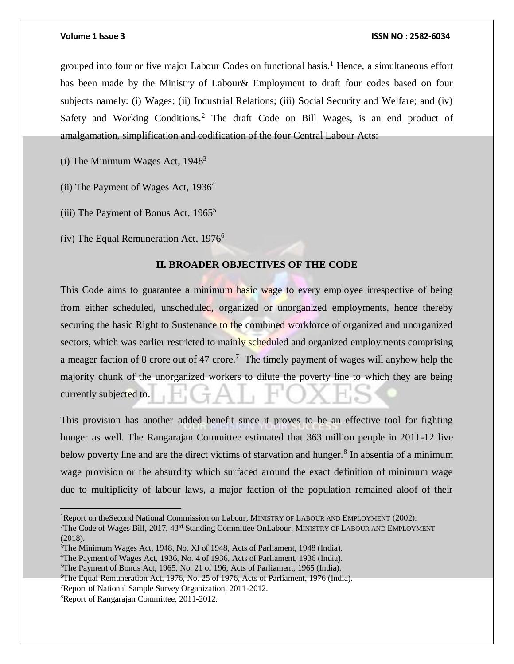grouped into four or five major Labour Codes on functional basis.<sup>1</sup> Hence, a simultaneous effort has been made by the Ministry of Labour& Employment to draft four codes based on four subjects namely: (i) Wages; (ii) Industrial Relations; (iii) Social Security and Welfare; and (iv) Safety and Working Conditions.<sup>2</sup> The draft Code on Bill Wages, is an end product of amalgamation, simplification and codification of the four Central Labour Acts:

(i) The Minimum Wages Act,  $1948<sup>3</sup>$ 

(ii) The Payment of Wages Act,  $1936<sup>4</sup>$ 

(iii) The Payment of Bonus Act,  $1965^5$ 

(iv) The Equal Remuneration Act,  $1976^6$ 

# **II. BROADER OBJECTIVES OF THE CODE**

This Code aims to guarantee a minimum basic wage to every employee irrespective of being from either scheduled, unscheduled, organized or unorganized employments, hence thereby securing the basic Right to Sustenance to the combined workforce of organized and unorganized sectors, which was earlier restricted to mainly scheduled and organized employments comprising a meager faction of 8 crore out of 47 crore.<sup>7</sup> The timely payment of wages will anyhow help the majority chunk of the unorganized workers to dilute the poverty line to which they are being currently subjected to.

This provision has another added benefit since it proves to be an effective tool for fighting hunger as well. The Rangarajan Committee estimated that 363 million people in 2011-12 live below poverty line and are the direct victims of starvation and hunger.<sup>8</sup> In absentia of a minimum wage provision or the absurdity which surfaced around the exact definition of minimum wage due to multiplicity of labour laws, a major faction of the population remained aloof of their

<sup>1</sup>Report on theSecond National Commission on Labour, MINISTRY OF LABOUR AND EMPLOYMENT (2002).

<sup>&</sup>lt;sup>2</sup>The Code of Wages Bill, 2017, 43<sup>rd</sup> Standing Committee OnLabour, MINISTRY OF LABOUR AND EMPLOYMENT (2018).

<sup>3</sup>The Minimum Wages Act, 1948, No. XI of 1948, Acts of Parliament, 1948 (India).

<sup>4</sup>The Payment of Wages Act, 1936, No. 4 of 1936, Acts of Parliament, 1936 (India).

<sup>5</sup>The Payment of Bonus Act, 1965, No. 21 of 196, Acts of Parliament, 1965 (India).

<sup>6</sup>The Equal Remuneration Act, 1976, No. 25 of 1976, Acts of Parliament, 1976 (India).

<sup>7</sup>Report of National Sample Survey Organization, 2011-2012.

<sup>8</sup>Report of Rangarajan Committee, 2011-2012.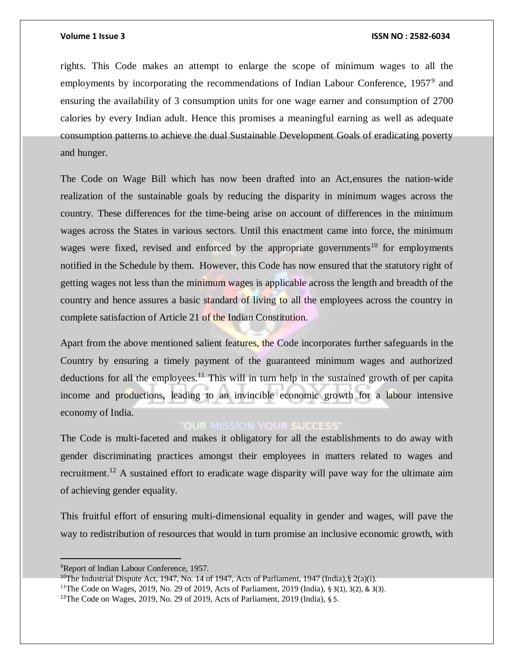rights. This Code makes an attempt to enlarge the scope of minimum wages to all the employments by incorporating the recommendations of Indian Labour Conference, 1957<sup>9</sup> and ensuring the availability of 3 consumption units for one wage earner and consumption of 2700 calories by every Indian adult. Hence this promises a meaningful earning as well as adequate consumption patterns to achieve the dual Sustainable Development Goals of eradicating poverty and hunger.

The Code on Wage Bill which has now been drafted into an Act,ensures the nation-wide realization of the sustainable goals by reducing the disparity in minimum wages across the country. These differences for the time-being arise on account of differences in the minimum wages across the States in various sectors. Until this enactment came into force, the minimum wages were fixed, revised and enforced by the appropriate governments<sup>10</sup> for employments notified in the Schedule by them. However, this Code has now ensured that the statutory right of getting wages not less than the minimum wages is applicable across the length and breadth of the country and hence assures a basic standard of living to all the employees across the country in complete satisfaction of Article 21 of the Indian Constitution.

Apart from the above mentioned salient features, the Code incorporates further safeguards in the Country by ensuring a timely payment of the guaranteed minimum wages and authorized deductions for all the employees.<sup>11</sup> This will in turn help in the sustained growth of per capita income and productions, leading to an invincible economic growth for a labour intensive economy of India.

# **OUR MISSION YOUR SUCCESS'**

The Code is multi-faceted and makes it obligatory for all the establishments to do away with gender discriminating practices amongst their employees in matters related to wages and recruitment.<sup>12</sup> A sustained effort to eradicate wage disparity will pave way for the ultimate aim of achieving gender equality.

This fruitful effort of ensuring multi-dimensional equality in gender and wages, will pave the way to redistribution of resources that would in turn promise an inclusive economic growth, with

<sup>9</sup>Report of Indian Labour Conference, 1957.

<sup>&</sup>lt;sup>10</sup>The Industrial Dispute Act, 1947, No. 14 of 1947, Acts of Parliament, 1947 (India), § 2(a)(i).

<sup>&</sup>lt;sup>11</sup>The Code on Wages, 2019, No. 29 of 2019, Acts of Parliament, 2019 (India), § 3(1), 3(2), & 3(3).

<sup>12</sup>The Code on Wages, 2019, No. 29 of 2019, Acts of Parliament, 2019 (India), § 5.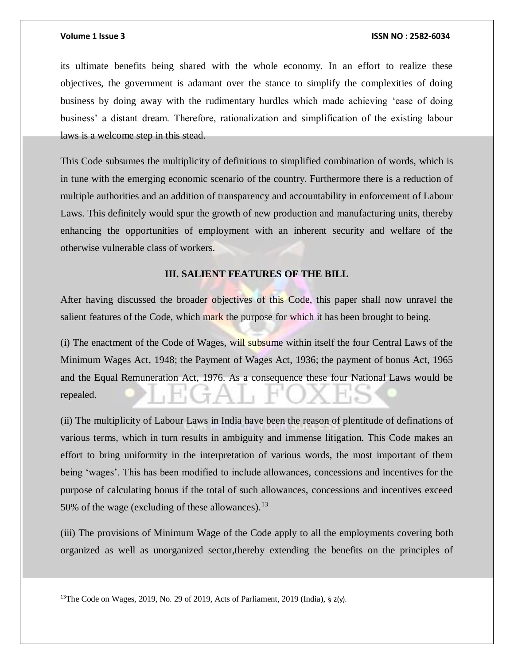its ultimate benefits being shared with the whole economy. In an effort to realize these objectives, the government is adamant over the stance to simplify the complexities of doing business by doing away with the rudimentary hurdles which made achieving 'ease of doing business' a distant dream. Therefore, rationalization and simplification of the existing labour laws is a welcome step in this stead.

This Code subsumes the multiplicity of definitions to simplified combination of words, which is in tune with the emerging economic scenario of the country. Furthermore there is a reduction of multiple authorities and an addition of transparency and accountability in enforcement of Labour Laws. This definitely would spur the growth of new production and manufacturing units, thereby enhancing the opportunities of employment with an inherent security and welfare of the otherwise vulnerable class of workers.

# **III. SALIENT FEATURES OF THE BILL**

After having discussed the broader objectives of this Code, this paper shall now unravel the salient features of the Code, which mark the purpose for which it has been brought to being.

(i) The enactment of the Code of Wages, will subsume within itself the four Central Laws of the Minimum Wages Act, 1948; the Payment of Wages Act, 1936; the payment of bonus Act, 1965 and the Equal Remuneration Act, 1976. As a consequence these four National Laws would be repealed.

(ii) The multiplicity of Labour Laws in India have been the reason of plentitude of definations of various terms, which in turn results in ambiguity and immense litigation. This Code makes an effort to bring uniformity in the interpretation of various words, the most important of them being 'wages'. This has been modified to include allowances, concessions and incentives for the purpose of calculating bonus if the total of such allowances, concessions and incentives exceed 50% of the wage (excluding of these allowances). $^{13}$ 

(iii) The provisions of Minimum Wage of the Code apply to all the employments covering both organized as well as unorganized sector,thereby extending the benefits on the principles of

<sup>13</sup>The Code on Wages, 2019, No. 29 of 2019, Acts of Parliament, 2019 (India), § 2(y).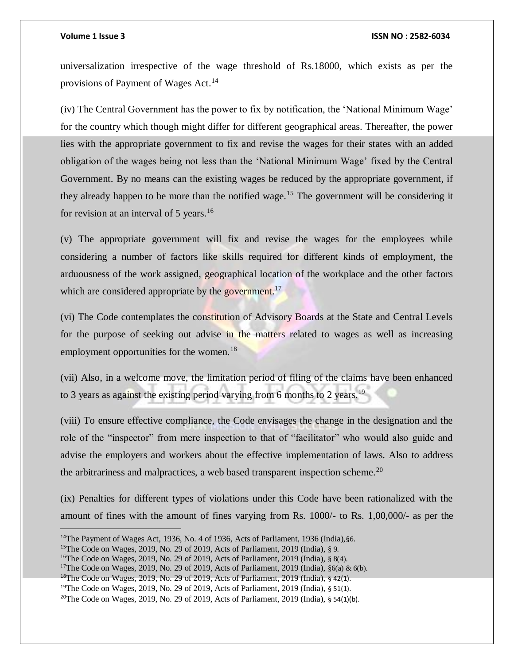universalization irrespective of the wage threshold of Rs.18000, which exists as per the provisions of Payment of Wages Act.<sup>14</sup>

(iv) The Central Government has the power to fix by notification, the 'National Minimum Wage' for the country which though might differ for different geographical areas. Thereafter, the power lies with the appropriate government to fix and revise the wages for their states with an added obligation of the wages being not less than the 'National Minimum Wage' fixed by the Central Government. By no means can the existing wages be reduced by the appropriate government, if they already happen to be more than the notified wage.<sup>15</sup> The government will be considering it for revision at an interval of 5 years.<sup>16</sup>

(v) The appropriate government will fix and revise the wages for the employees while considering a number of factors like skills required for different kinds of employment, the arduousness of the work assigned, geographical location of the workplace and the other factors which are considered appropriate by the government.<sup>17</sup>

(vi) The Code contemplates the constitution of Advisory Boards at the State and Central Levels for the purpose of seeking out advise in the matters related to wages as well as increasing employment opportunities for the women.<sup>18</sup>

(vii) Also, in a welcome move, the limitation period of filing of the claims have been enhanced to 3 years as against the existing period varying from 6 months to 2 years.<sup>19</sup>

(viii) To ensure effective compliance, the Code envisages the change in the designation and the role of the "inspector" from mere inspection to that of "facilitator" who would also guide and advise the employers and workers about the effective implementation of laws. Also to address the arbitrariness and malpractices, a web based transparent inspection scheme.<sup>20</sup>

(ix) Penalties for different types of violations under this Code have been rationalized with the amount of fines with the amount of fines varying from Rs. 1000/- to Rs. 1,00,000/- as per the

<sup>14</sup>The Payment of Wages Act, 1936, No. 4 of 1936, Acts of Parliament, 1936 (India),§6.

<sup>&</sup>lt;sup>15</sup>The Code on Wages, 2019, No. 29 of 2019, Acts of Parliament, 2019 (India),  $\S$  9.

<sup>16</sup>The Code on Wages, 2019, No. 29 of 2019, Acts of Parliament, 2019 (India), § 8(4).

<sup>&</sup>lt;sup>17</sup>The Code on Wages, 2019, No. 29 of 2019, Acts of Parliament, 2019 (India),  $§6(a) \& 6(b)$ .

<sup>18</sup>The Code on Wages, 2019, No. 29 of 2019, Acts of Parliament, 2019 (India), § 42(1).

<sup>&</sup>lt;sup>19</sup>The Code on Wages, 2019, No. 29 of 2019, Acts of Parliament, 2019 (India),  $\S$  51(1).

<sup>&</sup>lt;sup>20</sup>The Code on Wages, 2019, No. 29 of 2019, Acts of Parliament, 2019 (India),  $\frac{1}{2}$  54(1)(b).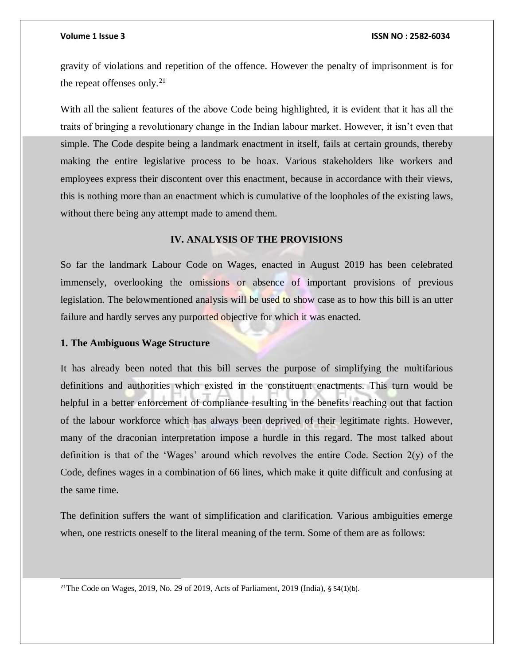gravity of violations and repetition of the offence. However the penalty of imprisonment is for the repeat offenses only. $^{21}$ 

With all the salient features of the above Code being highlighted, it is evident that it has all the traits of bringing a revolutionary change in the Indian labour market. However, it isn't even that simple. The Code despite being a landmark enactment in itself, fails at certain grounds, thereby making the entire legislative process to be hoax. Various stakeholders like workers and employees express their discontent over this enactment, because in accordance with their views, this is nothing more than an enactment which is cumulative of the loopholes of the existing laws, without there being any attempt made to amend them.

### **IV. ANALYSIS OF THE PROVISIONS**

So far the landmark Labour Code on Wages, enacted in August 2019 has been celebrated immensely, overlooking the omissions or absence of important provisions of previous legislation. The belowmentioned analysis will be used to show case as to how this bill is an utter failure and hardly serves any purported objective for which it was enacted.

### **1. The Ambiguous Wage Structure**

l

It has already been noted that this bill serves the purpose of simplifying the multifarious definitions and authorities which existed in the constituent enactments. This turn would be helpful in a better enforcement of compliance resulting in the benefits reaching out that faction of the labour workforce which has always been deprived of their legitimate rights. However, many of the draconian interpretation impose a hurdle in this regard. The most talked about definition is that of the 'Wages' around which revolves the entire Code. Section 2(y) of the Code, defines wages in a combination of 66 lines, which make it quite difficult and confusing at the same time.

The definition suffers the want of simplification and clarification. Various ambiguities emerge when, one restricts oneself to the literal meaning of the term. Some of them are as follows:

<sup>&</sup>lt;sup>21</sup>The Code on Wages, 2019, No. 29 of 2019, Acts of Parliament, 2019 (India),  $\frac{1}{9}$  54(1)(b).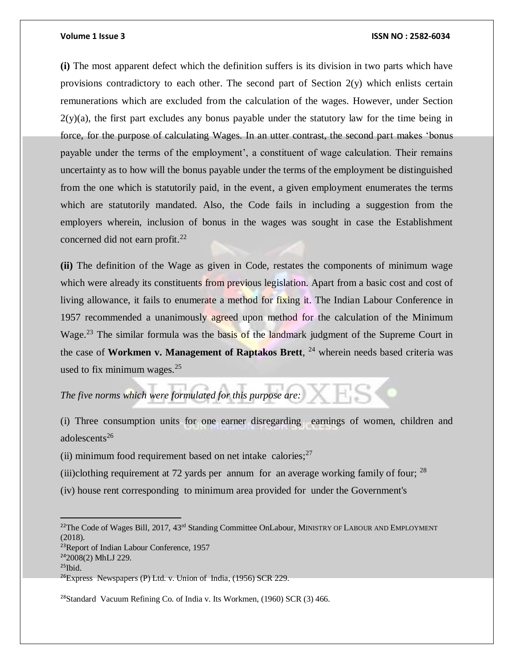### **Volume 1 Issue 3 ISSN NO : 2582-6034**

**(i)** The most apparent defect which the definition suffers is its division in two parts which have provisions contradictory to each other. The second part of Section 2(y) which enlists certain remunerations which are excluded from the calculation of the wages. However, under Section  $2(y)(a)$ , the first part excludes any bonus payable under the statutory law for the time being in force, for the purpose of calculating Wages. In an utter contrast, the second part makes 'bonus payable under the terms of the employment', a constituent of wage calculation. Their remains uncertainty as to how will the bonus payable under the terms of the employment be distinguished from the one which is statutorily paid, in the event, a given employment enumerates the terms which are statutorily mandated. Also, the Code fails in including a suggestion from the employers wherein, inclusion of bonus in the wages was sought in case the Establishment concerned did not earn profit.<sup>22</sup>

**(ii)** The definition of the Wage as given in Code, restates the components of minimum wage which were already its constituents from previous legislation. Apart from a basic cost and cost of living allowance, it fails to enumerate a method for fixing it. The Indian Labour Conference in 1957 recommended a unanimously agreed upon method for the calculation of the Minimum Wage.<sup>23</sup> The similar formula was the basis of the landmark judgment of the Supreme Court in the case of **Workmen v. Management of Raptakos Brett**, <sup>24</sup> wherein needs based criteria was used to fix minimum wages. $25$ 

*The five norms which were formulated for this purpose are:*

(i) Three consumption units for one earner disregarding earnings of women, children and adolescents $26$ 

(ii) minimum food requirement based on net intake calories; $27$ 

(iii)clothing requirement at 72 yards per annum for an average working family of four;  $^{28}$ 

(iv) house rent corresponding to minimum area provided for under the Government's

<sup>28</sup>Standard Vacuum Refining Co. of India v. Its Workmen, (1960) SCR (3) 466.

<sup>&</sup>lt;sup>22</sup>The Code of Wages Bill, 2017, 43<sup>rd</sup> Standing Committee OnLabour, MINISTRY OF LABOUR AND EMPLOYMENT (2018). <sup>23</sup>Report of Indian Labour Conference, 1957 <sup>24</sup>2008(2) MhLJ 229.  $25$ Ibid.  $26$ Express Newspapers (P) Ltd. v. Union of India, (1956) SCR 229.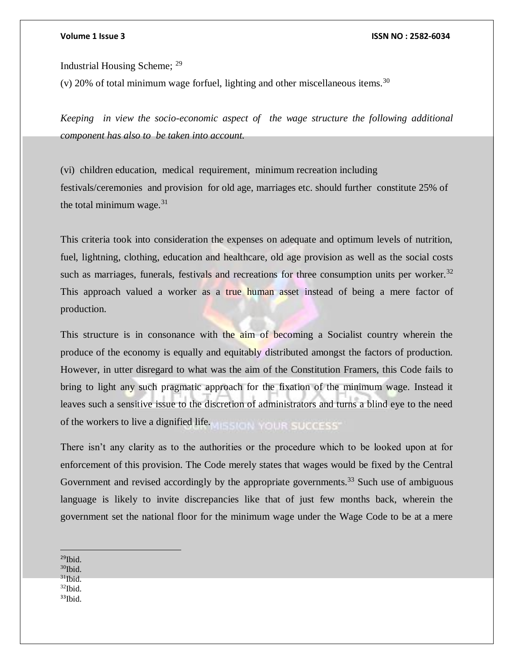Industrial Housing Scheme; <sup>29</sup>

(v) 20% of total minimum wage forfuel, lighting and other miscellaneous items.<sup>30</sup>

*Keeping in view the socio-economic aspect of the wage structure the following additional component has also to be taken into account.*

(vi) children education, medical requirement, minimum recreation including festivals/ceremonies and provision for old age, marriages etc. should further constitute 25% of the total minimum wage. $31$ 

This criteria took into consideration the expenses on adequate and optimum levels of nutrition, fuel, lightning, clothing, education and healthcare, old age provision as well as the social costs such as marriages, funerals, festivals and recreations for three consumption units per worker.<sup>32</sup> This approach valued a worker as a true human asset instead of being a mere factor of production.

This structure is in consonance with the aim of becoming a Socialist country wherein the produce of the economy is equally and equitably distributed amongst the factors of production. However, in utter disregard to what was the aim of the Constitution Framers, this Code fails to bring to light any such pragmatic approach for the fixation of the minimum wage. Instead it leaves such a sensitive issue to the discretion of administrators and turns a blind eye to the need of the workers to live a dignified life.

There isn't any clarity as to the authorities or the procedure which to be looked upon at for enforcement of this provision. The Code merely states that wages would be fixed by the Central Government and revised accordingly by the appropriate governments.<sup>33</sup> Such use of ambiguous language is likely to invite discrepancies like that of just few months back, wherein the government set the national floor for the minimum wage under the Wage Code to be at a mere

 $\overline{a}$  $29$ Ibid.  $30$ Ibid.  $31$ Ibid $-$ <sup>32</sup>Ibid.  $33$ Ibid.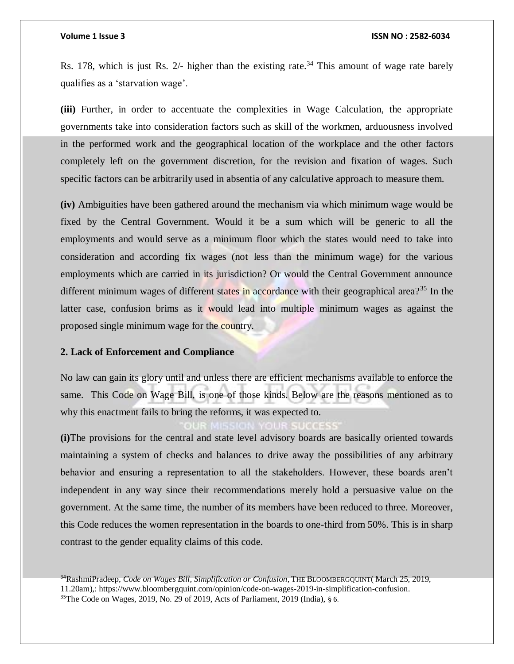Rs. 178, which is just Rs.  $2/-$  higher than the existing rate.<sup>34</sup> This amount of wage rate barely qualifies as a 'starvation wage'.

**(iii)** Further, in order to accentuate the complexities in Wage Calculation, the appropriate governments take into consideration factors such as skill of the workmen, arduousness involved in the performed work and the geographical location of the workplace and the other factors completely left on the government discretion, for the revision and fixation of wages. Such specific factors can be arbitrarily used in absentia of any calculative approach to measure them.

**(iv)** Ambiguities have been gathered around the mechanism via which minimum wage would be fixed by the Central Government. Would it be a sum which will be generic to all the employments and would serve as a minimum floor which the states would need to take into consideration and according fix wages (not less than the minimum wage) for the various employments which are carried in its jurisdiction? Or would the Central Government announce different minimum wages of different states in accordance with their geographical area?<sup>35</sup> In the latter case, confusion brims as it would lead into multiple minimum wages as against the proposed single minimum wage for the country.

### **2. Lack of Enforcement and Compliance**

 $\overline{a}$ 

No law can gain its glory until and unless there are efficient mechanisms available to enforce the same. This Code on Wage Bill, is one of those kinds. Below are the reasons mentioned as to why this enactment fails to bring the reforms, it was expected to.

**(i)**The provisions for the central and state level advisory boards are basically oriented towards maintaining a system of checks and balances to drive away the possibilities of any arbitrary behavior and ensuring a representation to all the stakeholders. However, these boards aren't independent in any way since their recommendations merely hold a persuasive value on the government. At the same time, the number of its members have been reduced to three. Moreover, this Code reduces the women representation in the boards to one-third from 50%. This is in sharp contrast to the gender equality claims of this code.

<sup>34</sup>RashmiPradeep, *Code on Wages Bill, Simplification or Confusion*, THE BLOOMBERGQUINT( March 25, 2019, 11.20am),: https://www.bloombergquint.com/opinion/code-on-wages-2019-in-simplification-confusion.

<sup>35</sup>The Code on Wages, 2019, No. 29 of 2019, Acts of Parliament, 2019 (India), § 6.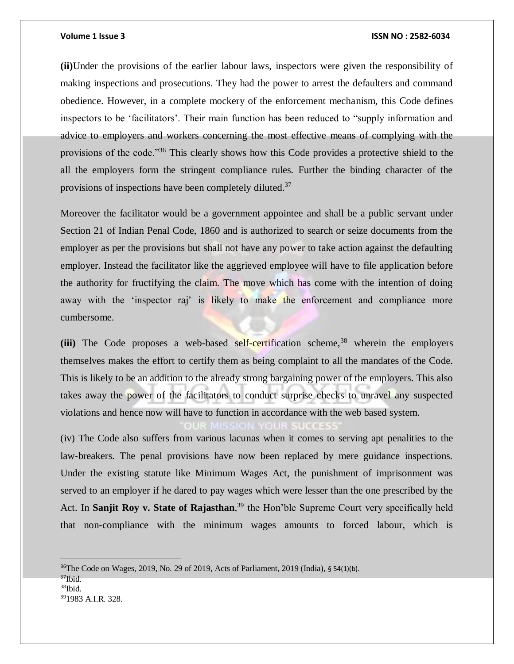**(ii)**Under the provisions of the earlier labour laws, inspectors were given the responsibility of making inspections and prosecutions. They had the power to arrest the defaulters and command obedience. However, in a complete mockery of the enforcement mechanism, this Code defines inspectors to be 'facilitators'. Their main function has been reduced to "supply information and advice to employers and workers concerning the most effective means of complying with the provisions of the code."<sup>36</sup> This clearly shows how this Code provides a protective shield to the all the employers form the stringent compliance rules. Further the binding character of the provisions of inspections have been completely diluted.<sup>37</sup>

Moreover the facilitator would be a government appointee and shall be a public servant under Section 21 of Indian Penal Code, 1860 and is authorized to search or seize documents from the employer as per the provisions but shall not have any power to take action against the defaulting employer. Instead the facilitator like the aggrieved employee will have to file application before the authority for fructifying the claim. The move which has come with the intention of doing away with the 'inspector raj' is likely to make the enforcement and compliance more cumbersome.

 $(iii)$  The Code proposes a web-based self-certification scheme,  $38$  wherein the employers themselves makes the effort to certify them as being complaint to all the mandates of the Code. This is likely to be an addition to the already strong bargaining power of the employers. This also takes away the power of the facilitators to conduct surprise checks to unravel any suspected violations and hence now will have to function in accordance with the web based system.

(iv) The Code also suffers from various lacunas when it comes to serving apt penalities to the law-breakers. The penal provisions have now been replaced by mere guidance inspections. Under the existing statute like Minimum Wages Act, the punishment of imprisonment was served to an employer if he dared to pay wages which were lesser than the one prescribed by the Act. In **Sanjit Roy v. State of Rajasthan**, <sup>39</sup> the Hon'ble Supreme Court very specifically held that non-compliance with the minimum wages amounts to forced labour, which is

<sup>36</sup>The Code on Wages, 2019, No. 29 of 2019, Acts of Parliament, 2019 (India), § 54(1)(b).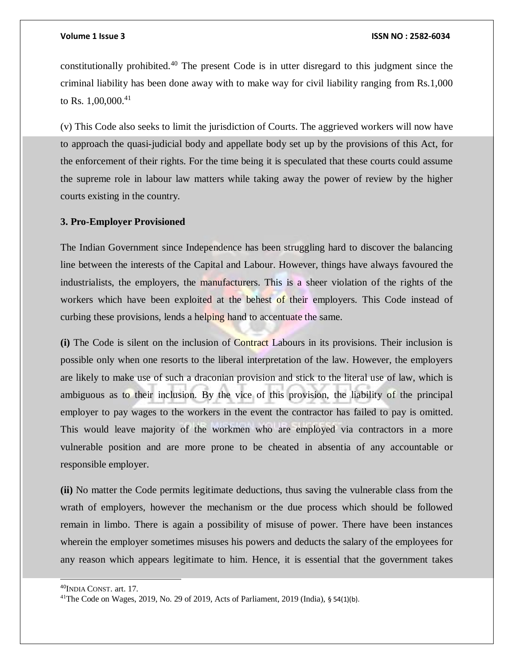constitutionally prohibited.<sup>40</sup> The present Code is in utter disregard to this judgment since the criminal liability has been done away with to make way for civil liability ranging from Rs.1,000 to Rs. 1,00,000.<sup>41</sup>

(v) This Code also seeks to limit the jurisdiction of Courts. The aggrieved workers will now have to approach the quasi-judicial body and appellate body set up by the provisions of this Act, for the enforcement of their rights. For the time being it is speculated that these courts could assume the supreme role in labour law matters while taking away the power of review by the higher courts existing in the country.

### **3. Pro-Employer Provisioned**

The Indian Government since Independence has been struggling hard to discover the balancing line between the interests of the Capital and Labour. However, things have always favoured the industrialists, the employers, the manufacturers. This is a sheer violation of the rights of the workers which have been exploited at the behest of their employers. This Code instead of curbing these provisions, lends a helping hand to accentuate the same.

**(i)** The Code is silent on the inclusion of Contract Labours in its provisions. Their inclusion is possible only when one resorts to the liberal interpretation of the law. However, the employers are likely to make use of such a draconian provision and stick to the literal use of law, which is ambiguous as to their inclusion. By the vice of this provision, the liability of the principal employer to pay wages to the workers in the event the contractor has failed to pay is omitted. This would leave majority of the workmen who are employed via contractors in a more vulnerable position and are more prone to be cheated in absentia of any accountable or responsible employer.

**(ii)** No matter the Code permits legitimate deductions, thus saving the vulnerable class from the wrath of employers, however the mechanism or the due process which should be followed remain in limbo. There is again a possibility of misuse of power. There have been instances wherein the employer sometimes misuses his powers and deducts the salary of the employees for any reason which appears legitimate to him. Hence, it is essential that the government takes

<sup>40</sup>INDIA CONST. art. 17.

<sup>41</sup>The Code on Wages, 2019, No. 29 of 2019, Acts of Parliament, 2019 (India), § 54(1)(b).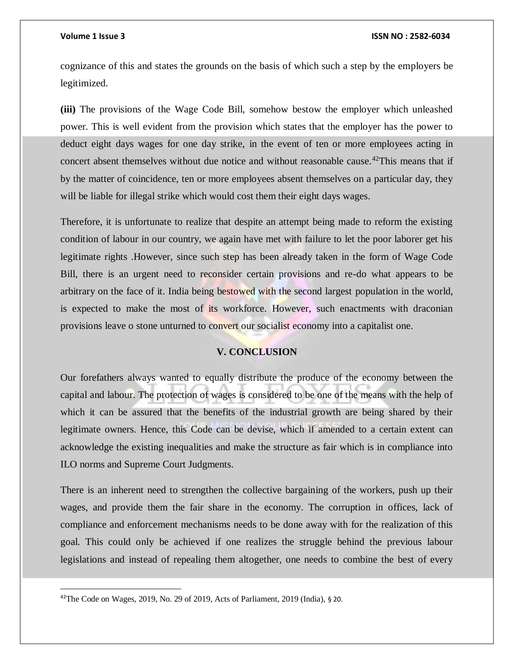### **Volume 1 Issue 3 ISSN NO : 2582-6034**

cognizance of this and states the grounds on the basis of which such a step by the employers be legitimized.

**(iii)** The provisions of the Wage Code Bill, somehow bestow the employer which unleashed power. This is well evident from the provision which states that the employer has the power to deduct eight days wages for one day strike, in the event of ten or more employees acting in concert absent themselves without due notice and without reasonable cause.<sup>42</sup>This means that if by the matter of coincidence, ten or more employees absent themselves on a particular day, they will be liable for illegal strike which would cost them their eight days wages.

Therefore, it is unfortunate to realize that despite an attempt being made to reform the existing condition of labour in our country, we again have met with failure to let the poor laborer get his legitimate rights .However, since such step has been already taken in the form of Wage Code Bill, there is an urgent need to reconsider certain provisions and re-do what appears to be arbitrary on the face of it. India being bestowed with the second largest population in the world, is expected to make the most of its workforce. However, such enactments with draconian provisions leave o stone unturned to convert our socialist economy into a capitalist one.

## **V. CONCLUSION**

Our forefathers always wanted to equally distribute the produce of the economy between the capital and labour. The protection of wages is considered to be one of the means with the help of which it can be assured that the benefits of the industrial growth are being shared by their legitimate owners. Hence, this Code can be devise, which if amended to a certain extent can acknowledge the existing inequalities and make the structure as fair which is in compliance into ILO norms and Supreme Court Judgments.

There is an inherent need to strengthen the collective bargaining of the workers, push up their wages, and provide them the fair share in the economy. The corruption in offices, lack of compliance and enforcement mechanisms needs to be done away with for the realization of this goal. This could only be achieved if one realizes the struggle behind the previous labour legislations and instead of repealing them altogether, one needs to combine the best of every

<sup>42</sup>The Code on Wages, 2019, No. 29 of 2019, Acts of Parliament, 2019 (India), § 20.